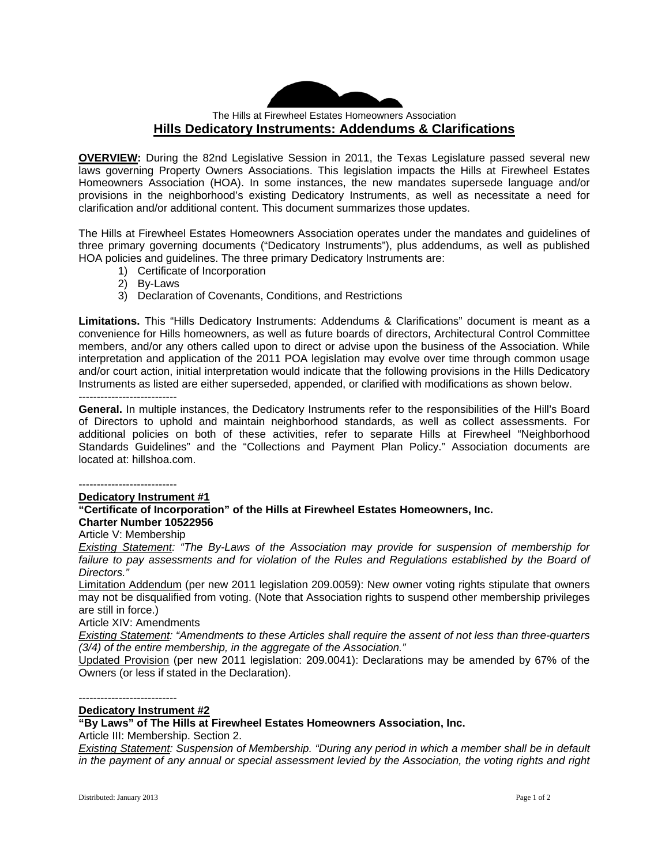## The Hills at Firewheel Estates Homeowners Association **Hills Dedicatory Instruments: Addendums & Clarifications**

**OVERVIEW:** During the 82nd Legislative Session in 2011, the Texas Legislature passed several new laws governing Property Owners Associations. This legislation impacts the Hills at Firewheel Estates Homeowners Association (HOA). In some instances, the new mandates supersede language and/or provisions in the neighborhood's existing Dedicatory Instruments, as well as necessitate a need for clarification and/or additional content. This document summarizes those updates.

The Hills at Firewheel Estates Homeowners Association operates under the mandates and guidelines of three primary governing documents ("Dedicatory Instruments"), plus addendums, as well as published HOA policies and guidelines. The three primary Dedicatory Instruments are:

- 1) Certificate of Incorporation
- 2) By-Laws
- 3) Declaration of Covenants, Conditions, and Restrictions

**Limitations.** This "Hills Dedicatory Instruments: Addendums & Clarifications" document is meant as a convenience for Hills homeowners, as well as future boards of directors, Architectural Control Committee members, and/or any others called upon to direct or advise upon the business of the Association. While interpretation and application of the 2011 POA legislation may evolve over time through common usage and/or court action, initial interpretation would indicate that the following provisions in the Hills Dedicatory Instruments as listed are either superseded, appended, or clarified with modifications as shown below.

---------------------------

**General.** In multiple instances, the Dedicatory Instruments refer to the responsibilities of the Hill's Board of Directors to uphold and maintain neighborhood standards, as well as collect assessments. For additional policies on both of these activities, refer to separate Hills at Firewheel "Neighborhood Standards Guidelines" and the "Collections and Payment Plan Policy." Association documents are located at: hillshoa.com.

---------------------------

**Dedicatory Instrument #1 "Certificate of Incorporation" of the Hills at Firewheel Estates Homeowners, Inc. Charter Number 10522956** 

Article V: Membership

*Existing Statement: "The By-Laws of the Association may provide for suspension of membership for*  failure to pay assessments and for violation of the Rules and Regulations established by the Board of *Directors."* 

Limitation Addendum (per new 2011 legislation 209.0059): New owner voting rights stipulate that owners may not be disqualified from voting. (Note that Association rights to suspend other membership privileges are still in force.)

Article XIV: Amendments

*Existing Statement: "Amendments to these Articles shall require the assent of not less than three-quarters (3/4) of the entire membership, in the aggregate of the Association."* 

Updated Provision (per new 2011 legislation: 209.0041): Declarations may be amended by 67% of the Owners (or less if stated in the Declaration).

---------------------------

# **Dedicatory Instrument #2**

## **"By Laws" of The Hills at Firewheel Estates Homeowners Association, Inc.**

Article III: Membership. Section 2.

*Existing Statement: Suspension of Membership. "During any period in which a member shall be in default in the payment of any annual or special assessment levied by the Association, the voting rights and right*